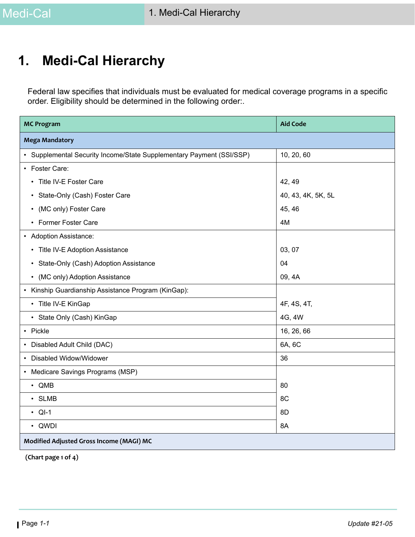# **1. Medi-Cal Hierarchy**

Federal law specifies that individuals must be evaluated for medical coverage programs in a specific order. Eligibility should be determined in the following order:.

| <b>MC Program</b>                                                    | <b>Aid Code</b>    |
|----------------------------------------------------------------------|--------------------|
| <b>Mega Mandatory</b>                                                |                    |
| • Supplemental Security Income/State Supplementary Payment (SSI/SSP) | 10, 20, 60         |
| • Foster Care:                                                       |                    |
| Title IV-E Foster Care<br>$\bullet$                                  | 42, 49             |
| • State-Only (Cash) Foster Care                                      | 40, 43, 4K, 5K, 5L |
| • (MC only) Foster Care                                              | 45, 46             |
| • Former Foster Care                                                 | 4M                 |
| • Adoption Assistance:                                               |                    |
| • Title IV-E Adoption Assistance                                     | 03, 07             |
| • State-Only (Cash) Adoption Assistance                              | 04                 |
| • (MC only) Adoption Assistance                                      | 09, 4A             |
| • Kinship Guardianship Assistance Program (KinGap):                  |                    |
| • Title IV-E KinGap                                                  | 4F, 4S, 4T,        |
| • State Only (Cash) KinGap                                           | 4G, 4W             |
| • Pickle                                                             | 16, 26, 66         |
| • Disabled Adult Child (DAC)                                         | 6A, 6C             |
| • Disabled Widow/Widower                                             | 36                 |
| • Medicare Savings Programs (MSP)                                    |                    |
| $\cdot$ QMB                                                          | 80                 |
| · SLMB                                                               | 8C                 |
| $\cdot$ QI-1                                                         | 8D                 |
| • QWDI                                                               | 8A                 |
| Modified Adjusted Gross Income (MAGI) MC                             |                    |

 **(Chart page 1 of 4)**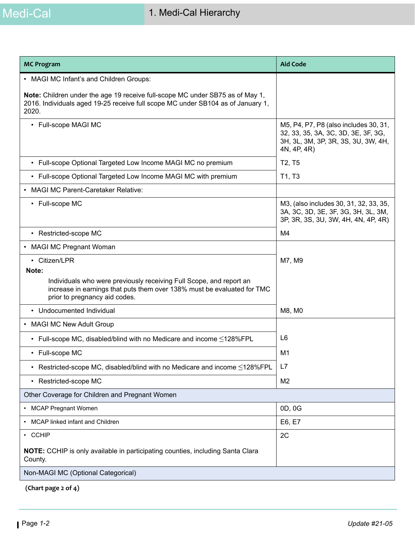

| <b>MC Program</b>                                                                                                                                                                        | <b>Aid Code</b>                                                                                                                    |
|------------------------------------------------------------------------------------------------------------------------------------------------------------------------------------------|------------------------------------------------------------------------------------------------------------------------------------|
| • MAGI MC Infant's and Children Groups:                                                                                                                                                  |                                                                                                                                    |
| Note: Children under the age 19 receive full-scope MC under SB75 as of May 1,<br>2016. Individuals aged 19-25 receive full scope MC under SB104 as of January 1,<br>2020.                |                                                                                                                                    |
| • Full-scope MAGI MC                                                                                                                                                                     | M5, P4, P7, P8 (also includes 30, 31,<br>32, 33, 35, 3A, 3C, 3D, 3E, 3F, 3G,<br>3H, 3L, 3M, 3P, 3R, 3S, 3U, 3W, 4H,<br>4N, 4P, 4R) |
| • Full-scope Optional Targeted Low Income MAGI MC no premium                                                                                                                             | T <sub>2</sub> , T <sub>5</sub>                                                                                                    |
| • Full-scope Optional Targeted Low Income MAGI MC with premium                                                                                                                           | T1, T3                                                                                                                             |
| <b>MAGI MC Parent-Caretaker Relative:</b>                                                                                                                                                |                                                                                                                                    |
| • Full-scope MC                                                                                                                                                                          | M3, (also includes 30, 31, 32, 33, 35,<br>3A, 3C, 3D, 3E, 3F, 3G, 3H, 3L, 3M,<br>3P, 3R, 3S, 3U, 3W, 4H, 4N, 4P, 4R)               |
| • Restricted-scope MC                                                                                                                                                                    | M4                                                                                                                                 |
| <b>MAGI MC Pregnant Woman</b>                                                                                                                                                            |                                                                                                                                    |
| • Citizen/LPR                                                                                                                                                                            | M7, M9                                                                                                                             |
| Note:<br>Individuals who were previously receiving Full Scope, and report an<br>increase in earnings that puts them over 138% must be evaluated for TMC<br>prior to pregnancy aid codes. |                                                                                                                                    |
| • Undocumented Individual                                                                                                                                                                | M8, M0                                                                                                                             |
| • MAGI MC New Adult Group                                                                                                                                                                |                                                                                                                                    |
| • Full-scope MC, disabled/blind with no Medicare and income $\leq$ 128%FPL                                                                                                               | L <sub>6</sub>                                                                                                                     |
| • Full-scope MC                                                                                                                                                                          | M1                                                                                                                                 |
| Restricted-scope MC, disabled/blind with no Medicare and income ≤128%FPL<br>٠                                                                                                            | L7                                                                                                                                 |
| • Restricted-scope MC                                                                                                                                                                    | M <sub>2</sub>                                                                                                                     |
| Other Coverage for Children and Pregnant Women                                                                                                                                           |                                                                                                                                    |
| • MCAP Pregnant Women                                                                                                                                                                    | 0D, 0G                                                                                                                             |
| MCAP linked infant and Children                                                                                                                                                          | E6, E7                                                                                                                             |
| $\cdot$ CCHIP                                                                                                                                                                            | 2C                                                                                                                                 |
| <b>NOTE:</b> CCHIP is only available in participating counties, including Santa Clara<br>County.                                                                                         |                                                                                                                                    |
| Non-MAGI MC (Optional Categorical)                                                                                                                                                       |                                                                                                                                    |

 **(Chart page 2 of 4)**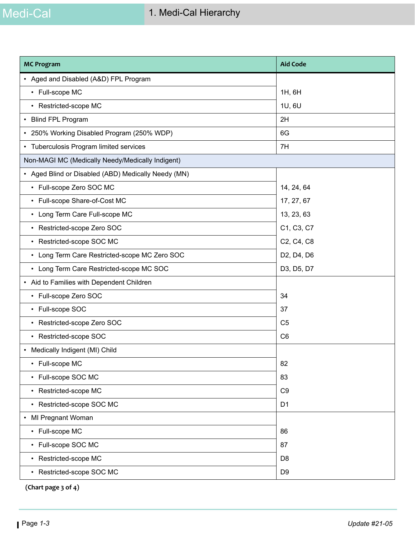| <b>MC Program</b>                                     | <b>Aid Code</b> |
|-------------------------------------------------------|-----------------|
| • Aged and Disabled (A&D) FPL Program                 |                 |
| • Full-scope MC                                       | 1H, 6H          |
| • Restricted-scope MC                                 | 1U, 6U          |
| • Blind FPL Program                                   | 2H              |
| 250% Working Disabled Program (250% WDP)<br>$\bullet$ | 6G              |
| • Tuberculosis Program limited services               | 7H              |
| Non-MAGI MC (Medically Needy/Medically Indigent)      |                 |
| • Aged Blind or Disabled (ABD) Medically Needy (MN)   |                 |
| • Full-scope Zero SOC MC                              | 14, 24, 64      |
| • Full-scope Share-of-Cost MC                         | 17, 27, 67      |
| • Long Term Care Full-scope MC                        | 13, 23, 63      |
| • Restricted-scope Zero SOC                           | C1, C3, C7      |
| • Restricted-scope SOC MC                             | C2, C4, C8      |
| • Long Term Care Restricted-scope MC Zero SOC         | D2, D4, D6      |
| • Long Term Care Restricted-scope MC SOC              | D3, D5, D7      |
| • Aid to Families with Dependent Children             |                 |
| • Full-scope Zero SOC                                 | 34              |
| • Full-scope SOC                                      | 37              |
| • Restricted-scope Zero SOC                           | C <sub>5</sub>  |
| • Restricted-scope SOC                                | C <sub>6</sub>  |
| Medically Indigent (MI) Child<br>$\bullet$            |                 |
| • Full-scope MC                                       | 82              |
| • Full-scope SOC MC                                   | 83              |
| • Restricted-scope MC                                 | C <sub>9</sub>  |
| • Restricted-scope SOC MC                             | D <sub>1</sub>  |
| MI Pregnant Woman<br>$\bullet$                        |                 |
| • Full-scope MC                                       | 86              |
| • Full-scope SOC MC                                   | 87              |
| • Restricted-scope MC                                 | D <sub>8</sub>  |
| • Restricted-scope SOC MC                             | D <sub>9</sub>  |

 **(Chart page 3 of 4)**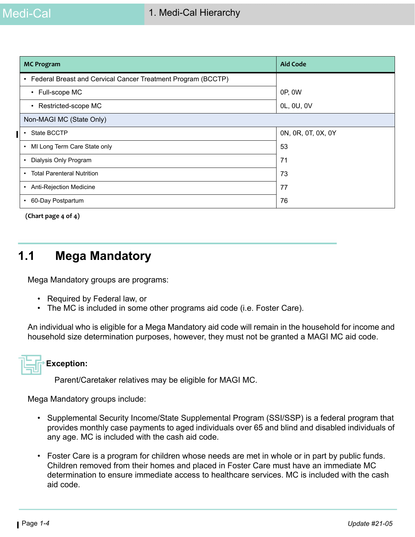| <b>MC Program</b>                                                         | <b>Aid Code</b>    |
|---------------------------------------------------------------------------|--------------------|
| Federal Breast and Cervical Cancer Treatment Program (BCCTP)<br>$\bullet$ |                    |
| • Full-scope MC                                                           | 0P, 0W             |
| • Restricted-scope MC                                                     | 0L, 0U, 0V         |
| Non-MAGI MC (State Only)                                                  |                    |
| State BCCTP<br>$\bullet$                                                  | 0N, 0R, 0T, 0X, 0Y |
| MI Long Term Care State only<br>$\bullet$                                 | 53                 |
| Dialysis Only Program<br>٠                                                | 71                 |
| <b>Total Parenteral Nutrition</b><br>$\bullet$                            | 73                 |
| Anti-Rejection Medicine<br>٠                                              | 77                 |
| 60-Day Postpartum<br>$\bullet$                                            | 76                 |

 **(Chart page 4 of 4)**

## **1.1 Mega Mandatory**

Mega Mandatory groups are programs:

- Required by Federal law, or
- The MC is included in some other programs aid code (i.e. Foster Care).

An individual who is eligible for a Mega Mandatory aid code will remain in the household for income and household size determination purposes, however, they must not be granted a MAGI MC aid code.

## **Exception:**

Parent/Caretaker relatives may be eligible for MAGI MC.

Mega Mandatory groups include:

- Supplemental Security Income/State Supplemental Program (SSI/SSP) is a federal program that provides monthly case payments to aged individuals over 65 and blind and disabled individuals of any age. MC is included with the cash aid code.
- Foster Care is a program for children whose needs are met in whole or in part by public funds. Children removed from their homes and placed in Foster Care must have an immediate MC determination to ensure immediate access to healthcare services. MC is included with the cash aid code.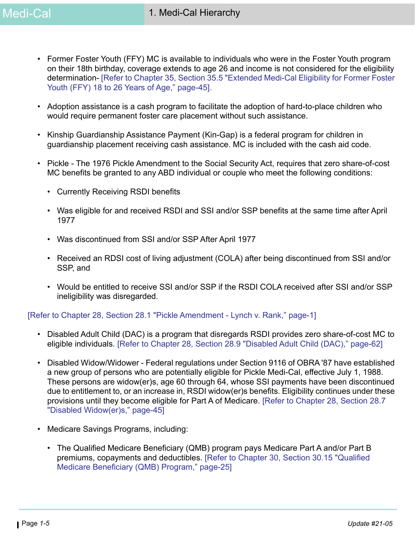- Former Foster Youth (FFY) MC is available to individuals who were in the Foster Youth program on their 18th birthday, coverage extends to age 26 and income is not considered for the eligibility determination- [Refer to Chapter 35, Section 35.5 "Extended Medi-Cal Eligibility for Former Foster Youth (FFY) 18 to 26 Years of Age," page-45].
- Adoption assistance is a cash program to facilitate the adoption of hard-to-place children who would require permanent foster care placement without such assistance.
- Kinship Guardianship Assistance Payment (Kin-Gap) is a federal program for children in guardianship placement receiving cash assistance. MC is included with the cash aid code.
- Pickle The 1976 Pickle Amendment to the Social Security Act, requires that zero share-of-cost MC benefits be granted to any ABD individual or couple who meet the following conditions:
	- Currently Receiving RSDI benefits
	- Was eligible for and received RSDI and SSI and/or SSP benefits at the same time after April 1977
	- Was discontinued from SSI and/or SSP After April 1977
	- Received an RDSI cost of living adjustment (COLA) after being discontinued from SSI and/or SSP, and
	- Would be entitled to receive SSI and/or SSP if the RSDI COLA received after SSI and/or SSP ineligibility was disregarded.

[Refer to Chapter 28, Section 28.1 "Pickle Amendment - Lynch v. Rank," page-1]

- Disabled Adult Child (DAC) is a program that disregards RSDI provides zero share-of-cost MC to eligible individuals. [Refer to Chapter 28, Section 28.9 "Disabled Adult Child (DAC)," page-62]
- Disabled Widow/Widower Federal regulations under Section 9116 of OBRA '87 have established a new group of persons who are potentially eligible for Pickle Medi-Cal, effective July 1, 1988. These persons are widow(er)s, age 60 through 64, whose SSI payments have been discontinued due to entitlement to, or an increase in, RSDI widow(er)s benefits. Eligibility continues under these provisions until they become eligible for Part A of Medicare. [Refer to Chapter 28, Section 28.7 "Disabled Widow(er)s," page-45]
- Medicare Savings Programs, including:
	- The Qualified Medicare Beneficiary (QMB) program pays Medicare Part A and/or Part B premiums, copayments and deductibles. [Refer to Chapter 30, Section 30.15 "Qualified Medicare Beneficiary (QMB) Program," page-25]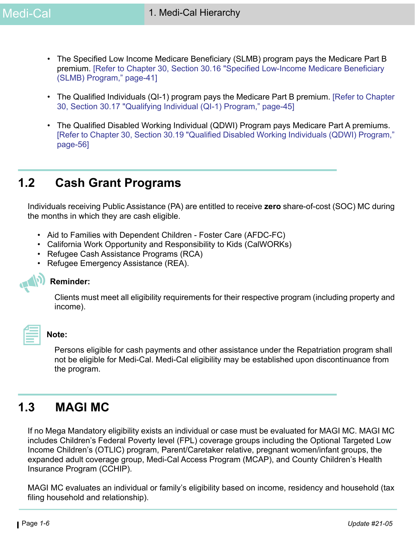- The Specified Low Income Medicare Beneficiary (SLMB) program pays the Medicare Part B premium. [Refer to Chapter 30, Section 30.16 "Specified Low-Income Medicare Beneficiary (SLMB) Program," page-41]
- The Qualified Individuals (QI-1) program pays the Medicare Part B premium. [Refer to Chapter 30, Section 30.17 "Qualifying Individual (QI-1) Program," page-45]
- The Qualified Disabled Working Individual (QDWI) Program pays Medicare Part A premiums. [Refer to Chapter 30, Section 30.19 "Qualified Disabled Working Individuals (QDWI) Program," page-56]

## **1.2 Cash Grant Programs**

Individuals receiving Public Assistance (PA) are entitled to receive **zero** share-of-cost (SOC) MC during the months in which they are cash eligible.

- Aid to Families with Dependent Children Foster Care (AFDC-FC)
- California Work Opportunity and Responsibility to Kids (CalWORKs)
- Refugee Cash Assistance Programs (RCA)
- Refugee Emergency Assistance (REA).

#### **Reminder:**

Clients must meet all eligibility requirements for their respective program (including property and income).

#### **Note:**

Persons eligible for cash payments and other assistance under the Repatriation program shall not be eligible for Medi-Cal. Medi-Cal eligibility may be established upon discontinuance from the program.

## **1.3 MAGI MC**

If no Mega Mandatory eligibility exists an individual or case must be evaluated for MAGI MC. MAGI MC includes Children's Federal Poverty level (FPL) coverage groups including the Optional Targeted Low Income Children's (OTLIC) program, Parent/Caretaker relative, pregnant women/infant groups, the expanded adult coverage group, Medi-Cal Access Program (MCAP), and County Children's Health Insurance Program (CCHIP).

MAGI MC evaluates an individual or family's eligibility based on income, residency and household (tax filing household and relationship).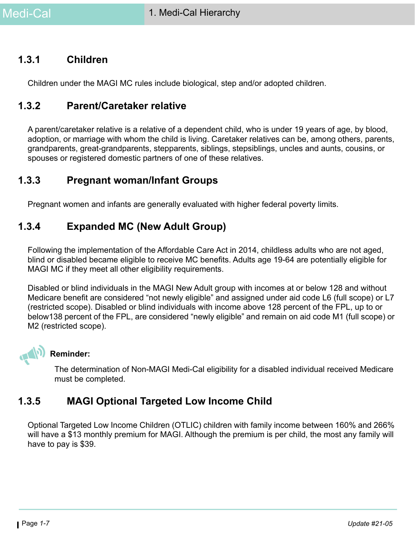#### **1.3.1 Children**

Children under the MAGI MC rules include biological, step and/or adopted children.

#### **1.3.2 Parent/Caretaker relative**

A parent/caretaker relative is a relative of a dependent child, who is under 19 years of age, by blood, adoption, or marriage with whom the child is living. Caretaker relatives can be, among others, parents, grandparents, great-grandparents, stepparents, siblings, stepsiblings, uncles and aunts, cousins, or spouses or registered domestic partners of one of these relatives.

#### **1.3.3 Pregnant woman/Infant Groups**

Pregnant women and infants are generally evaluated with higher federal poverty limits.

#### **1.3.4 Expanded MC (New Adult Group)**

Following the implementation of the Affordable Care Act in 2014, childless adults who are not aged, blind or disabled became eligible to receive MC benefits. Adults age 19-64 are potentially eligible for MAGI MC if they meet all other eligibility requirements.

Disabled or blind individuals in the MAGI New Adult group with incomes at or below 128 and without Medicare benefit are considered "not newly eligible" and assigned under aid code L6 (full scope) or L7 (restricted scope). Disabled or blind individuals with income above 128 percent of the FPL, up to or below138 percent of the FPL, are considered "newly eligible" and remain on aid code M1 (full scope) or M2 (restricted scope).



#### **Reminder:**

The determination of Non-MAGI Medi-Cal eligibility for a disabled individual received Medicare must be completed.

#### **1.3.5 MAGI Optional Targeted Low Income Child**

Optional Targeted Low Income Children (OTLIC) children with family income between 160% and 266% will have a \$13 monthly premium for MAGI. Although the premium is per child, the most any family will have to pay is \$39.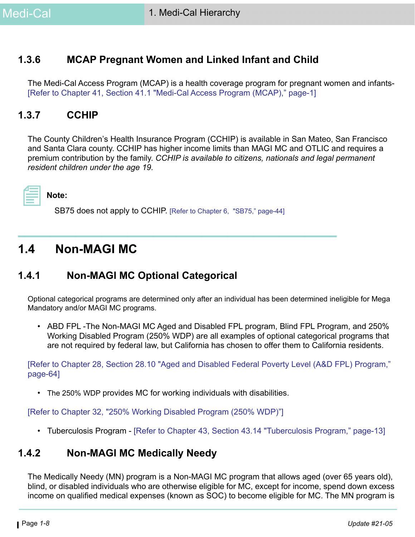#### **1.3.6 MCAP Pregnant Women and Linked Infant and Child**

The Medi-Cal Access Program (MCAP) is a health coverage program for pregnant women and infants- [Refer to Chapter 41, Section 41.1 "Medi-Cal Access Program (MCAP)," page-1]

#### **1.3.7 CCHIP**

The County Children's Health Insurance Program (CCHIP) is available in San Mateo, San Francisco and Santa Clara county. CCHIP has higher income limits than MAGI MC and OTLIC and requires a premium contribution by the family. *CCHIP is available to citizens, nationals and legal permanent resident children under the age 19.* 



SB75 does not apply to CCHIP. [Refer to Chapter 6, "SB75," page-44]

## **1.4 Non-MAGI MC**

#### **1.4.1 Non-MAGI MC Optional Categorical**

Optional categorical programs are determined only after an individual has been determined ineligible for Mega Mandatory and/or MAGI MC programs.

• ABD FPL -The Non-MAGI MC Aged and Disabled FPL program, Blind FPL Program, and 250% Working Disabled Program (250% WDP) are all examples of optional categorical programs that are not required by federal law, but California has chosen to offer them to California residents.

[Refer to Chapter 28, Section 28.10 "Aged and Disabled Federal Poverty Level (A&D FPL) Program," page-64]

• The 250% WDP provides MC for working individuals with disabilities.

[Refer to Chapter 32, "250% Working Disabled Program (250% WDP)"]

• Tuberculosis Program - [Refer to Chapter 43, Section 43.14 "Tuberculosis Program," page-13]

#### **1.4.2 Non-MAGI MC Medically Needy**

The Medically Needy (MN) program is a Non-MAGI MC program that allows aged (over 65 years old), blind, or disabled individuals who are otherwise eligible for MC, except for income, spend down excess income on qualified medical expenses (known as SOC) to become eligible for MC. The MN program is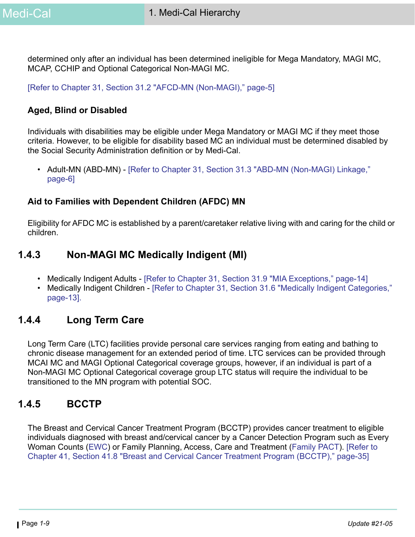determined only after an individual has been determined ineligible for Mega Mandatory, MAGI MC, MCAP, CCHIP and Optional Categorical Non-MAGI MC.

[Refer to Chapter 31, Section 31.2 "AFCD-MN (Non-MAGI)," page-5]

#### **Aged, Blind or Disabled**

Individuals with disabilities may be eligible under Mega Mandatory or MAGI MC if they meet those criteria. However, to be eligible for disability based MC an individual must be determined disabled by the Social Security Administration definition or by Medi-Cal.

• Adult-MN (ABD-MN) - [Refer to Chapter 31, Section 31.3 "ABD-MN (Non-MAGI) Linkage," page-6]

#### **Aid to Families with Dependent Children (AFDC) MN**

Eligibility for AFDC MC is established by a parent/caretaker relative living with and caring for the child or children.

### **1.4.3 Non-MAGI MC Medically Indigent (MI)**

- Medically Indigent Adults [Refer to Chapter 31, Section 31.9 "MIA Exceptions," page-14]
- Medically Indigent Children [Refer to Chapter 31, Section 31.6 "Medically Indigent Categories," page-13].

#### **1.4.4 Long Term Care**

Long Term Care (LTC) facilities provide personal care services ranging from eating and bathing to chronic disease management for an extended period of time. LTC services can be provided through MCAI MC and MAGI Optional Categorical coverage groups, however, if an individual is part of a Non-MAGI MC Optional Categorical coverage group LTC status will require the individual to be transitioned to the MN program with potential SOC.

#### **1.4.5 BCCTP**

The Breast and Cervical Cancer Treatment Program (BCCTP) provides cancer treatment to eligible individuals diagnosed with breast and/cervical cancer by a Cancer Detection Program such as Every Woman Counts ([EWC\)](http://www.dhcs.ca.gov/services/Cancer/ewc/Pages/default.aspx) or Family Planning, Access, Care and Treatment ([Family PACT\)](http://www.familypact.org/Home/home-page). [Refer to Chapter 41, Section 41.8 "Breast and Cervical Cancer Treatment Program (BCCTP)," page-35]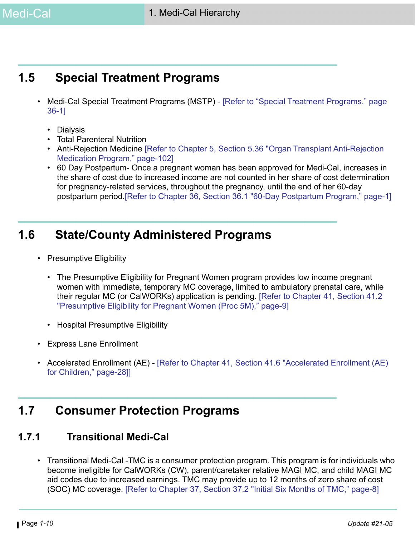# **1.5 Special Treatment Programs**

- Medi-Cal Special Treatment Programs (MSTP) [Refer to "Special Treatment Programs," page 36-1]
	- Dialysis
	- Total Parenteral Nutrition
	- Anti-Rejection Medicine [Refer to Chapter 5, Section 5.36 "Organ Transplant Anti-Rejection Medication Program," page-102]
	- 60 Day Postpartum- Once a pregnant woman has been approved for Medi-Cal, increases in the share of cost due to increased income are not counted in her share of cost determination for pregnancy-related services, throughout the pregnancy, until the end of her 60-day postpartum period.[Refer to Chapter 36, Section 36.1 "60-Day Postpartum Program," page-1]

## **1.6 State/County Administered Programs**

- Presumptive Eligibility
	- The Presumptive Eligibility for Pregnant Women program provides low income pregnant women with immediate, temporary MC coverage, limited to ambulatory prenatal care, while their regular MC (or CalWORKs) application is pending. [Refer to Chapter 41, Section 41.2 "Presumptive Eligibility for Pregnant Women (Proc 5M)," page-9]
	- Hospital Presumptive Eligibility
- Express Lane Enrollment
- Accelerated Enrollment (AE) [Refer to Chapter 41, Section 41.6 "Accelerated Enrollment (AE) for Children," page-28]]

## **1.7 Consumer Protection Programs**

#### **1.7.1 Transitional Medi-Cal**

• Transitional Medi-Cal -TMC is a consumer protection program. This program is for individuals who become ineligible for CalWORKs (CW), parent/caretaker relative MAGI MC, and child MAGI MC aid codes due to increased earnings. TMC may provide up to 12 months of zero share of cost (SOC) MC coverage. [Refer to Chapter 37, Section 37.2 "Initial Six Months of TMC," page-8]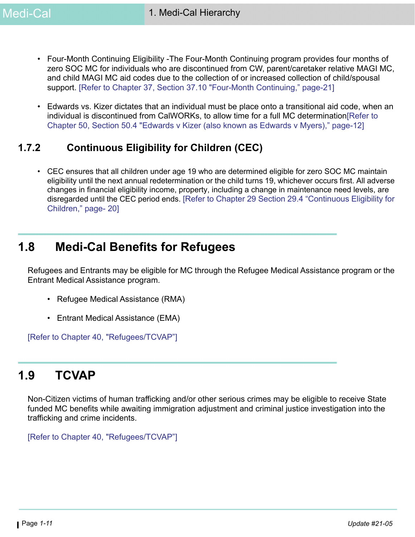- Four-Month Continuing Eligibility -The Four-Month Continuing program provides four months of zero SOC MC for individuals who are discontinued from CW, parent/caretaker relative MAGI MC, and child MAGI MC aid codes due to the collection of or increased collection of child/spousal support. [Refer to Chapter 37, Section 37.10 "Four-Month Continuing," page-21]
- Edwards vs. Kizer dictates that an individual must be place onto a transitional aid code, when an individual is discontinued from CalWORKs, to allow time for a full MC determination[Refer to Chapter 50, Section 50.4 "Edwards v Kizer (also known as Edwards v Myers)," page-12]

## **1.7.2 Continuous Eligibility for Children (CEC)**

• CEC ensures that all children under age 19 who are determined eligible for zero SOC MC maintain eligibility until the next annual redetermination or the child turns 19, whichever occurs first. All adverse changes in financial eligibility income, property, including a change in maintenance need levels, are disregarded until the CEC period ends.[\[Refer to Chapter 29 Section 29.4 "Continuous Eligibility for](https://ssaconnect.sccgov.org/ssa_departments/debs_program/Documents/handbooks/medical/mcchap29.pdf#page=20)  [Children," page- 20\]](https://ssaconnect.sccgov.org/ssa_departments/debs_program/Documents/handbooks/medical/mcchap29.pdf#page=20)

## **1.8 Medi-Cal Benefits for Refugees**

Refugees and Entrants may be eligible for MC through the Refugee Medical Assistance program or the Entrant Medical Assistance program.

- Refugee Medical Assistance (RMA)
- Entrant Medical Assistance (EMA)

[Refer to Chapter 40, "Refugees/TCVAP"]

## **1.9 TCVAP**

Non-Citizen victims of human trafficking and/or other serious crimes may be eligible to receive State funded MC benefits while awaiting immigration adjustment and criminal justice investigation into the trafficking and crime incidents.

[Refer to Chapter 40, "Refugees/TCVAP"]